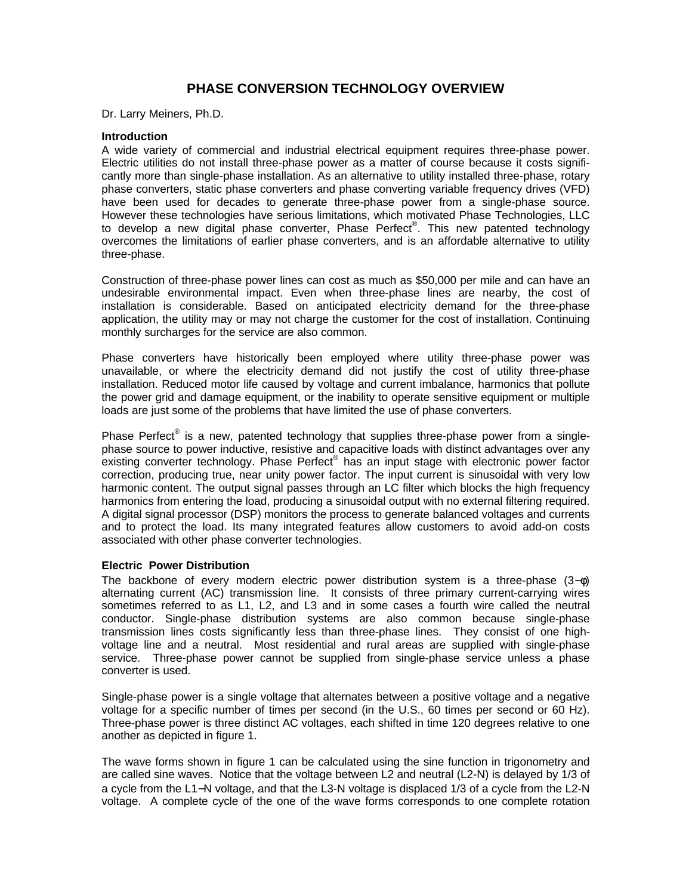# **PHASE CONVERSION TECHNOLOGY OVERVIEW**

Dr. Larry Meiners, Ph.D.

#### **Introduction**

A wide variety of commercial and industrial electrical equipment requires three-phase power. Electric utilities do not install three-phase power as a matter of course because it costs significantly more than single-phase installation. As an alternative to utility installed three-phase, rotary phase converters, static phase converters and phase converting variable frequency drives (VFD) have been used for decades to generate three-phase power from a single-phase source. However these technologies have serious limitations, which motivated Phase Technologies, LLC to develop a new digital phase converter, Phase Perfect<sup>®</sup>. This new patented technology overcomes the limitations of earlier phase converters, and is an affordable alternative to utility three-phase.

Construction of three-phase power lines can cost as much as \$50,000 per mile and can have an undesirable environmental impact. Even when three-phase lines are nearby, the cost of installation is considerable. Based on anticipated electricity demand for the three-phase application, the utility may or may not charge the customer for the cost of installation. Continuing monthly surcharges for the service are also common.

Phase converters have historically been employed where utility three-phase power was unavailable, or where the electricity demand did not justify the cost of utility three-phase installation. Reduced motor life caused by voltage and current imbalance, harmonics that pollute the power grid and damage equipment, or the inability to operate sensitive equipment or multiple loads are just some of the problems that have limited the use of phase converters.

Phase Perfect® is a new, patented technology that supplies three-phase power from a singlephase source to power inductive, resistive and capacitive loads with distinct advantages over any existing converter technology. Phase Perfect® has an input stage with electronic power factor correction, producing true, near unity power factor. The input current is sinusoidal with very low harmonic content. The output signal passes through an LC filter which blocks the high frequency harmonics from entering the load, producing a sinusoidal output with no external filtering required. A digital signal processor (DSP) monitors the process to generate balanced voltages and currents and to protect the load. Its many integrated features allow customers to avoid add-on costs associated with other phase converter technologies.

#### **Electric Power Distribution**

The backbone of every modern electric power distribution system is a three-phase  $(3-\phi)$ alternating current (AC) transmission line. It consists of three primary current-carrying wires sometimes referred to as L1, L2, and L3 and in some cases a fourth wire called the neutral conductor. Single-phase distribution systems are also common because single-phase transmission lines costs significantly less than three-phase lines. They consist of one highvoltage line and a neutral. Most residential and rural areas are supplied with single-phase service. Three-phase power cannot be supplied from single-phase service unless a phase converter is used.

Single-phase power is a single voltage that alternates between a positive voltage and a negative voltage for a specific number of times per second (in the U.S., 60 times per second or 60 Hz). Three-phase power is three distinct AC voltages, each shifted in time 120 degrees relative to one another as depicted in figure 1.

The wave forms shown in figure 1 can be calculated using the sine function in trigonometry and are called sine waves. Notice that the voltage between L2 and neutral (L2-N) is delayed by 1/3 of a cycle from the L1−N voltage, and that the L3-N voltage is displaced 1/3 of a cycle from the L2-N voltage. A complete cycle of the one of the wave forms corresponds to one complete rotation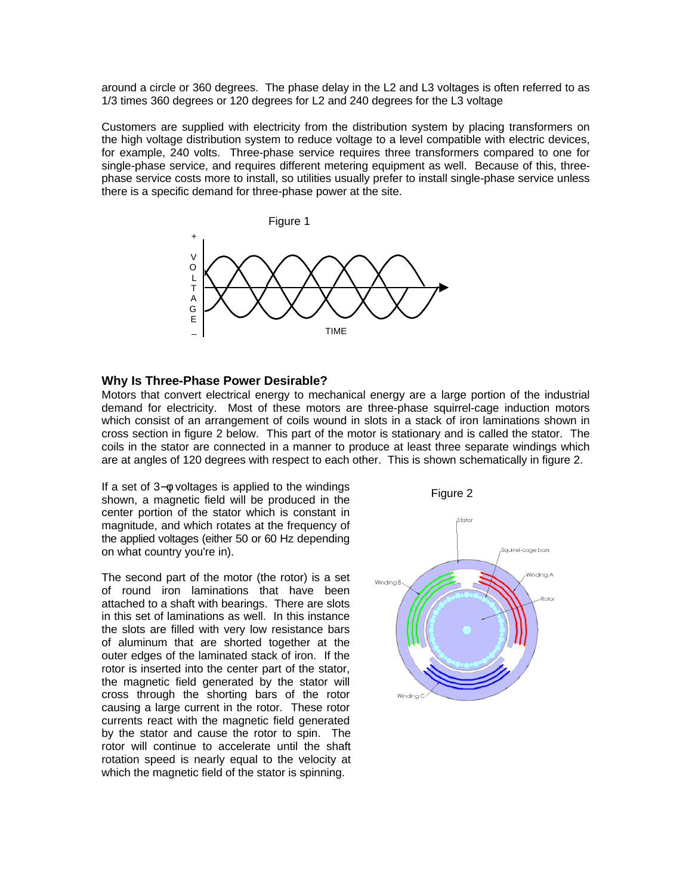around a circle or 360 degrees. The phase delay in the L2 and L3 voltages is often referred to as 1/3 times 360 degrees or 120 degrees for L2 and 240 degrees for the L3 voltage

Customers are supplied with electricity from the distribution system by placing transformers on the high voltage distribution system to reduce voltage to a level compatible with electric devices, for example, 240 volts. Three-phase service requires three transformers compared to one for single-phase service, and requires different metering equipment as well. Because of this, threephase service costs more to install, so utilities usually prefer to install single-phase service unless there is a specific demand for three-phase power at the site.



#### **Why Is Three-Phase Power Desirable?**

Motors that convert electrical energy to mechanical energy are a large portion of the industrial demand for electricity. Most of these motors are three-phase squirrel-cage induction motors which consist of an arrangement of coils wound in slots in a stack of iron laminations shown in cross section in figure 2 below. This part of the motor is stationary and is called the stator. The coils in the stator are connected in a manner to produce at least three separate windings which are at angles of 120 degrees with respect to each other. This is shown schematically in figure 2.

If a set of 3−φ voltages is applied to the windings shown, a magnetic field will be produced in the center portion of the stator which is constant in magnitude, and which rotates at the frequency of the applied voltages (either 50 or 60 Hz depending on what country you're in).

The second part of the motor (the rotor) is a set of round iron laminations that have been attached to a shaft with bearings. There are slots in this set of laminations as well. In this instance the slots are filled with very low resistance bars of aluminum that are shorted together at the outer edges of the laminated stack of iron. If the rotor is inserted into the center part of the stator, the magnetic field generated by the stator will cross through the shorting bars of the rotor causing a large current in the rotor. These rotor currents react with the magnetic field generated by the stator and cause the rotor to spin. The rotor will continue to accelerate until the shaft rotation speed is nearly equal to the velocity at which the magnetic field of the stator is spinning.

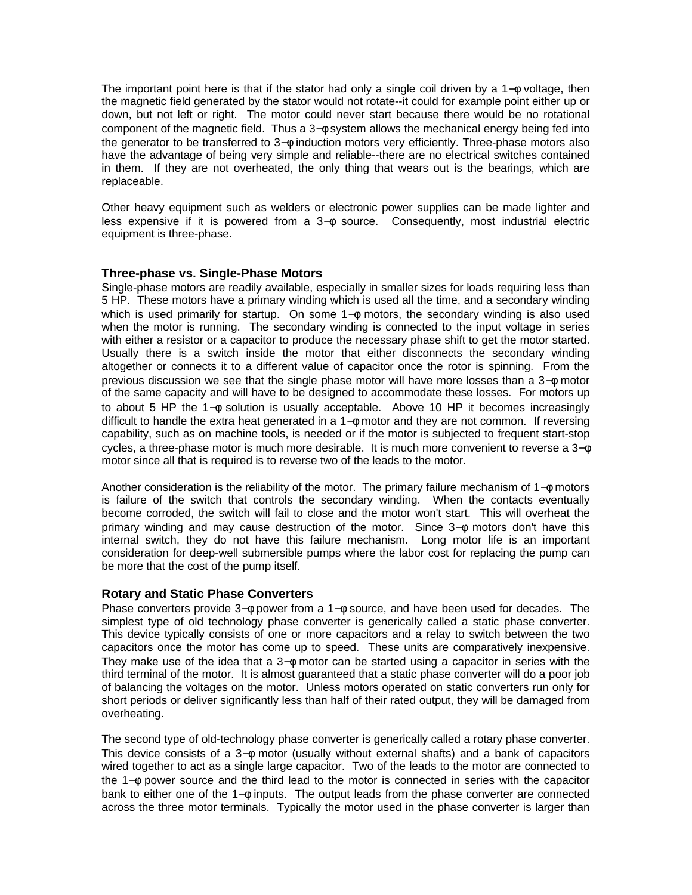The important point here is that if the stator had only a single coil driven by a 1−φ voltage, then the magnetic field generated by the stator would not rotate--it could for example point either up or down, but not left or right. The motor could never start because there would be no rotational component of the magnetic field. Thus a 3–⊕ system allows the mechanical energy being fed into the generator to be transferred to 3−φ induction motors very efficiently. Three-phase motors also have the advantage of being very simple and reliable--there are no electrical switches contained in them. If they are not overheated, the only thing that wears out is the bearings, which are replaceable.

Other heavy equipment such as welders or electronic power supplies can be made lighter and less expensive if it is powered from a 3−φ source. Consequently, most industrial electric equipment is three-phase.

# **Three-phase vs. Single-Phase Motors**

Single-phase motors are readily available, especially in smaller sizes for loads requiring less than 5 HP. These motors have a primary winding which is used all the time, and a secondary winding which is used primarily for startup. On some 1– $φ$  motors, the secondary winding is also used when the motor is running. The secondary winding is connected to the input voltage in series with either a resistor or a capacitor to produce the necessary phase shift to get the motor started. Usually there is a switch inside the motor that either disconnects the secondary winding altogether or connects it to a different value of capacitor once the rotor is spinning. From the previous discussion we see that the single phase motor will have more losses than a 3−φ motor of the same capacity and will have to be designed to accommodate these losses. For motors up to about 5 HP the 1−φ solution is usually acceptable. Above 10 HP it becomes increasingly difficult to handle the extra heat generated in a 1−φ motor and they are not common. If reversing capability, such as on machine tools, is needed or if the motor is subjected to frequent start-stop cycles, a three-phase motor is much more desirable. It is much more convenient to reverse a 3−φ motor since all that is required is to reverse two of the leads to the motor.

Another consideration is the reliability of the motor. The primary failure mechanism of 1−φ motors is failure of the switch that controls the secondary winding. When the contacts eventually become corroded, the switch will fail to close and the motor won't start. This will overheat the primary winding and may cause destruction of the motor. Since 3– $φ$  motors don't have this internal switch, they do not have this failure mechanism. Long motor life is an important consideration for deep-well submersible pumps where the labor cost for replacing the pump can be more that the cost of the pump itself.

#### **Rotary and Static Phase Converters**

Phase converters provide 3−φ power from a 1−φ source, and have been used for decades. The simplest type of old technology phase converter is generically called a static phase converter. This device typically consists of one or more capacitors and a relay to switch between the two capacitors once the motor has come up to speed. These units are comparatively inexpensive. They make use of the idea that a 3−φ motor can be started using a capacitor in series with the third terminal of the motor. It is almost guaranteed that a static phase converter will do a poor job of balancing the voltages on the motor. Unless motors operated on static converters run only for short periods or deliver significantly less than half of their rated output, they will be damaged from overheating.

The second type of old-technology phase converter is generically called a rotary phase converter. This device consists of a 3−φ motor (usually without external shafts) and a bank of capacitors wired together to act as a single large capacitor. Two of the leads to the motor are connected to the 1−φ power source and the third lead to the motor is connected in series with the capacitor bank to either one of the 1−φ inputs. The output leads from the phase converter are connected across the three motor terminals. Typically the motor used in the phase converter is larger than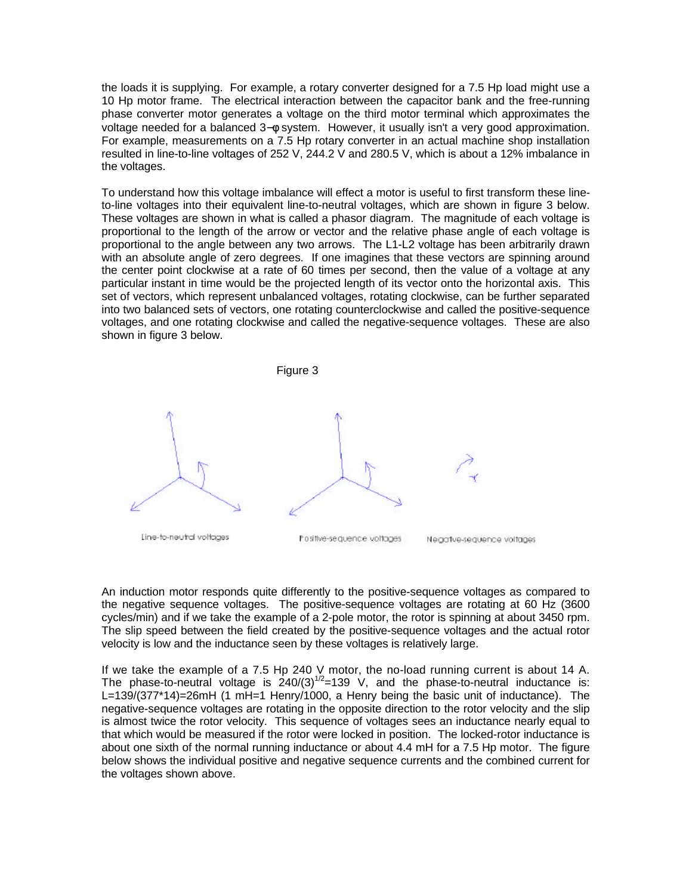the loads it is supplying. For example, a rotary converter designed for a 7.5 Hp load might use a 10 Hp motor frame. The electrical interaction between the capacitor bank and the free-running phase converter motor generates a voltage on the third motor terminal which approximates the voltage needed for a balanced 3−φ system. However, it usually isn't a very good approximation. For example, measurements on a 7.5 Hp rotary converter in an actual machine shop installation resulted in line-to-line voltages of 252 V, 244.2 V and 280.5 V, which is about a 12% imbalance in the voltages.

To understand how this voltage imbalance will effect a motor is useful to first transform these lineto-line voltages into their equivalent line-to-neutral voltages, which are shown in figure 3 below. These voltages are shown in what is called a phasor diagram. The magnitude of each voltage is proportional to the length of the arrow or vector and the relative phase angle of each voltage is proportional to the angle between any two arrows. The L1-L2 voltage has been arbitrarily drawn with an absolute angle of zero degrees. If one imagines that these vectors are spinning around the center point clockwise at a rate of 60 times per second, then the value of a voltage at any particular instant in time would be the projected length of its vector onto the horizontal axis. This set of vectors, which represent unbalanced voltages, rotating clockwise, can be further separated into two balanced sets of vectors, one rotating counterclockwise and called the positive-sequence voltages, and one rotating clockwise and called the negative-sequence voltages. These are also shown in figure 3 below.



An induction motor responds quite differently to the positive-sequence voltages as compared to the negative sequence voltages. The positive-sequence voltages are rotating at 60 Hz (3600 cycles/min) and if we take the example of a 2-pole motor, the rotor is spinning at about 3450 rpm. The slip speed between the field created by the positive-sequence voltages and the actual rotor velocity is low and the inductance seen by these voltages is relatively large.

If we take the example of a 7.5 Hp 240 V motor, the no-load running current is about 14 A. The phase-to-neutral voltage is  $240/(3)^{1/2}$ =139 V, and the phase-to-neutral inductance is: L=139/(377\*14)=26mH (1 mH=1 Henry/1000, a Henry being the basic unit of inductance). The negative-sequence voltages are rotating in the opposite direction to the rotor velocity and the slip is almost twice the rotor velocity. This sequence of voltages sees an inductance nearly equal to that which would be measured if the rotor were locked in position. The locked-rotor inductance is about one sixth of the normal running inductance or about 4.4 mH for a 7.5 Hp motor. The figure below shows the individual positive and negative sequence currents and the combined current for the voltages shown above.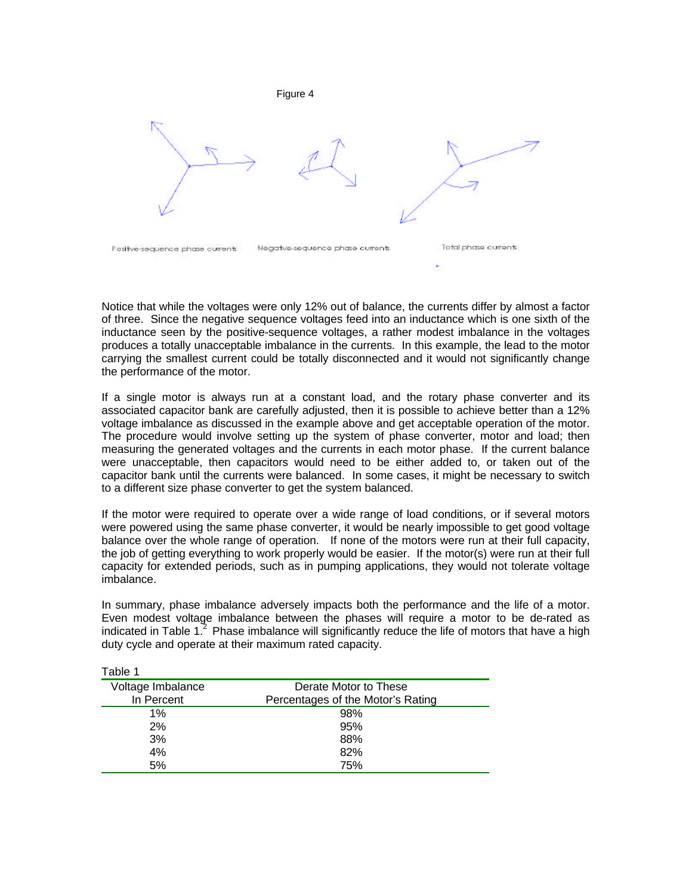Figure 4



Notice that while the voltages were only 12% out of balance, the currents differ by almost a factor of three. Since the negative sequence voltages feed into an inductance which is one sixth of the inductance seen by the positive-sequence voltages, a rather modest imbalance in the voltages produces a totally unacceptable imbalance in the currents. In this example, the lead to the motor carrying the smallest current could be totally disconnected and it would not significantly change the performance of the motor.

If a single motor is always run at a constant load, and the rotary phase converter and its associated capacitor bank are carefully adjusted, then it is possible to achieve better than a 12% voltage imbalance as discussed in the example above and get acceptable operation of the motor. The procedure would involve setting up the system of phase converter, motor and load; then measuring the generated voltages and the currents in each motor phase. If the current balance were unacceptable, then capacitors would need to be either added to, or taken out of the capacitor bank until the currents were balanced. In some cases, it might be necessary to switch to a different size phase converter to get the system balanced.

If the motor were required to operate over a wide range of load conditions, or if several motors were powered using the same phase converter, it would be nearly impossible to get good voltage balance over the whole range of operation. If none of the motors were run at their full capacity, the job of getting everything to work properly would be easier. If the motor(s) were run at their full capacity for extended periods, such as in pumping applications, they would not tolerate voltage imbalance.

In summary, phase imbalance adversely impacts both the performance and the life of a motor. Even modest voltage imbalance between the phases will require a motor to be de-rated as indicated in Table 1. $^{2}$  Phase imbalance will significantly reduce the life of motors that have a high duty cycle and operate at their maximum rated capacity.

| i dult i          |                                   |
|-------------------|-----------------------------------|
| Voltage Imbalance | Derate Motor to These             |
| In Percent        | Percentages of the Motor's Rating |
| $1\%$             | 98%                               |
| 2%                | 95%                               |
| 3%                | 88%                               |
| 4%                | 82%                               |
| 5%                | 75%                               |

Table 1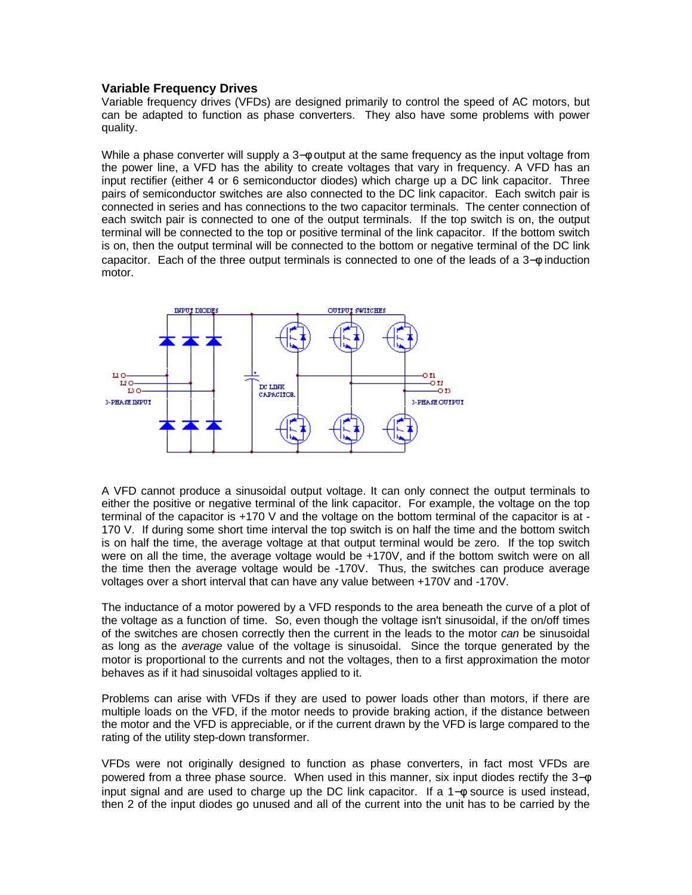# **Variable Frequency Drives**

Variable frequency drives (VFDs) are designed primarily to control the speed of AC motors, but can be adapted to function as phase converters. They also have some problems with power quality.

While a phase converter will supply a 3−φ output at the same frequency as the input voltage from the power line, a VFD has the ability to create voltages that vary in frequency. A VFD has an input rectifier (either 4 or 6 semiconductor diodes) which charge up a DC link capacitor. Three pairs of semiconductor switches are also connected to the DC link capacitor. Each switch pair is connected in series and has connections to the two capacitor terminals. The center connection of each switch pair is connected to one of the output terminals. If the top switch is on, the output terminal will be connected to the top or positive terminal of the link capacitor. If the bottom switch is on, then the output terminal will be connected to the bottom or negative terminal of the DC link capacitor. Each of the three output terminals is connected to one of the leads of a 3−φ induction motor.



A VFD cannot produce a sinusoidal output voltage. It can only connect the output terminals to either the positive or negative terminal of the link capacitor. For example, the voltage on the top terminal of the capacitor is +170 V and the voltage on the bottom terminal of the capacitor is at - 170 V. If during some short time interval the top switch is on half the time and the bottom switch is on half the time, the average voltage at that output terminal would be zero. If the top switch were on all the time, the average voltage would be +170V, and if the bottom switch were on all the time then the average voltage would be -170V. Thus, the switches can produce average voltages over a short interval that can have any value between +170V and -170V.

The inductance of a motor powered by a VFD responds to the area beneath the curve of a plot of the voltage as a function of time. So, even though the voltage isn't sinusoidal, if the on/off times of the switches are chosen correctly then the current in the leads to the motor *can* be sinusoidal as long as the *average* value of the voltage is sinusoidal. Since the torque generated by the motor is proportional to the currents and not the voltages, then to a first approximation the motor behaves as if it had sinusoidal voltages applied to it.

Problems can arise with VFDs if they are used to power loads other than motors, if there are multiple loads on the VFD, if the motor needs to provide braking action, if the distance between the motor and the VFD is appreciable, or if the current drawn by the VFD is large compared to the rating of the utility step-down transformer.

VFDs were not originally designed to function as phase converters, in fact most VFDs are powered from a three phase source. When used in this manner, six input diodes rectify the 3−φ input signal and are used to charge up the DC link capacitor. If a 1−φ source is used instead, then 2 of the input diodes go unused and all of the current into the unit has to be carried by the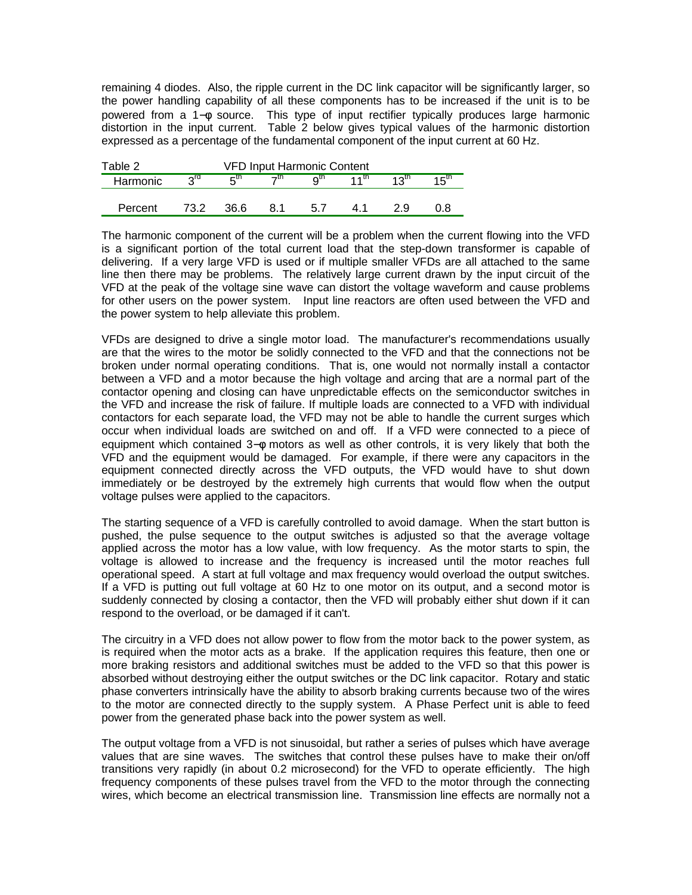remaining 4 diodes. Also, the ripple current in the DC link capacitor will be significantly larger, so the power handling capability of all these components has to be increased if the unit is to be powered from a 1−φ source. This type of input rectifier typically produces large harmonic distortion in the input current. Table 2 below gives typical values of the harmonic distortion expressed as a percentage of the fundamental component of the input current at 60 Hz.

| Table 2  |                 |      |     | <b>VFD Input Harmonic Content</b> |          |                  |                  |
|----------|-----------------|------|-----|-----------------------------------|----------|------------------|------------------|
| Harmonic | $2^{\text{rd}}$ | ն™   | →th | ∩th                               | $4.4$ th | $12^{\text{th}}$ | 15 <sup>th</sup> |
|          |                 |      |     |                                   |          |                  |                  |
| Percent  | 732             | 36.6 | 8.1 | 5.7                               | 41       | 29               |                  |

The harmonic component of the current will be a problem when the current flowing into the VFD is a significant portion of the total current load that the step-down transformer is capable of delivering. If a very large VFD is used or if multiple smaller VFDs are all attached to the same line then there may be problems. The relatively large current drawn by the input circuit of the VFD at the peak of the voltage sine wave can distort the voltage waveform and cause problems for other users on the power system. Input line reactors are often used between the VFD and the power system to help alleviate this problem.

VFDs are designed to drive a single motor load. The manufacturer's recommendations usually are that the wires to the motor be solidly connected to the VFD and that the connections not be broken under normal operating conditions. That is, one would not normally install a contactor between a VFD and a motor because the high voltage and arcing that are a normal part of the contactor opening and closing can have unpredictable effects on the semiconductor switches in the VFD and increase the risk of failure. If multiple loads are connected to a VFD with individual contactors for each separate load, the VFD may not be able to handle the current surges which occur when individual loads are switched on and off. If a VFD were connected to a piece of equipment which contained 3– $\phi$  motors as well as other controls, it is very likely that both the VFD and the equipment would be damaged. For example, if there were any capacitors in the equipment connected directly across the VFD outputs, the VFD would have to shut down immediately or be destroyed by the extremely high currents that would flow when the output voltage pulses were applied to the capacitors.

The starting sequence of a VFD is carefully controlled to avoid damage. When the start button is pushed, the pulse sequence to the output switches is adjusted so that the average voltage applied across the motor has a low value, with low frequency. As the motor starts to spin, the voltage is allowed to increase and the frequency is increased until the motor reaches full operational speed. A start at full voltage and max frequency would overload the output switches. If a VFD is putting out full voltage at 60 Hz to one motor on its output, and a second motor is suddenly connected by closing a contactor, then the VFD will probably either shut down if it can respond to the overload, or be damaged if it can't.

The circuitry in a VFD does not allow power to flow from the motor back to the power system, as is required when the motor acts as a brake. If the application requires this feature, then one or more braking resistors and additional switches must be added to the VFD so that this power is absorbed without destroying either the output switches or the DC link capacitor. Rotary and static phase converters intrinsically have the ability to absorb braking currents because two of the wires to the motor are connected directly to the supply system. A Phase Perfect unit is able to feed power from the generated phase back into the power system as well.

The output voltage from a VFD is not sinusoidal, but rather a series of pulses which have average values that are sine waves. The switches that control these pulses have to make their on/off transitions very rapidly (in about 0.2 microsecond) for the VFD to operate efficiently. The high frequency components of these pulses travel from the VFD to the motor through the connecting wires, which become an electrical transmission line. Transmission line effects are normally not a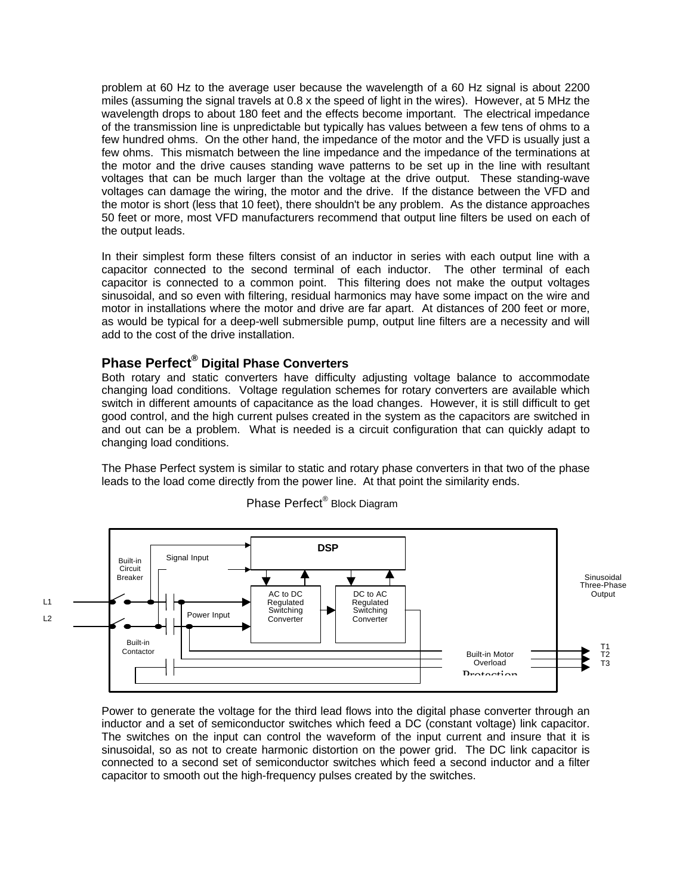problem at 60 Hz to the average user because the wavelength of a 60 Hz signal is about 2200 miles (assuming the signal travels at 0.8 x the speed of light in the wires). However, at 5 MHz the wavelength drops to about 180 feet and the effects become important. The electrical impedance of the transmission line is unpredictable but typically has values between a few tens of ohms to a few hundred ohms. On the other hand, the impedance of the motor and the VFD is usually just a few ohms. This mismatch between the line impedance and the impedance of the terminations at the motor and the drive causes standing wave patterns to be set up in the line with resultant voltages that can be much larger than the voltage at the drive output. These standing-wave voltages can damage the wiring, the motor and the drive. If the distance between the VFD and the motor is short (less that 10 feet), there shouldn't be any problem. As the distance approaches 50 feet or more, most VFD manufacturers recommend that output line filters be used on each of the output leads.

In their simplest form these filters consist of an inductor in series with each output line with a capacitor connected to the second terminal of each inductor. The other terminal of each capacitor is connected to a common point. This filtering does not make the output voltages sinusoidal, and so even with filtering, residual harmonics may have some impact on the wire and motor in installations where the motor and drive are far apart. At distances of 200 feet or more, as would be typical for a deep-well submersible pump, output line filters are a necessity and will add to the cost of the drive installation.

# **Phase Perfect® Digital Phase Converters**

Both rotary and static converters have difficulty adjusting voltage balance to accommodate changing load conditions. Voltage regulation schemes for rotary converters are available which switch in different amounts of capacitance as the load changes. However, it is still difficult to get good control, and the high current pulses created in the system as the capacitors are switched in and out can be a problem. What is needed is a circuit configuration that can quickly adapt to changing load conditions.

The Phase Perfect system is similar to static and rotary phase converters in that two of the phase leads to the load come directly from the power line. At that point the similarity ends.



Phase Perfect<sup>®</sup> Block Diagram

Power to generate the voltage for the third lead flows into the digital phase converter through an inductor and a set of semiconductor switches which feed a DC (constant voltage) link capacitor. The switches on the input can control the waveform of the input current and insure that it is sinusoidal, so as not to create harmonic distortion on the power grid. The DC link capacitor is connected to a second set of semiconductor switches which feed a second inductor and a filter capacitor to smooth out the high-frequency pulses created by the switches.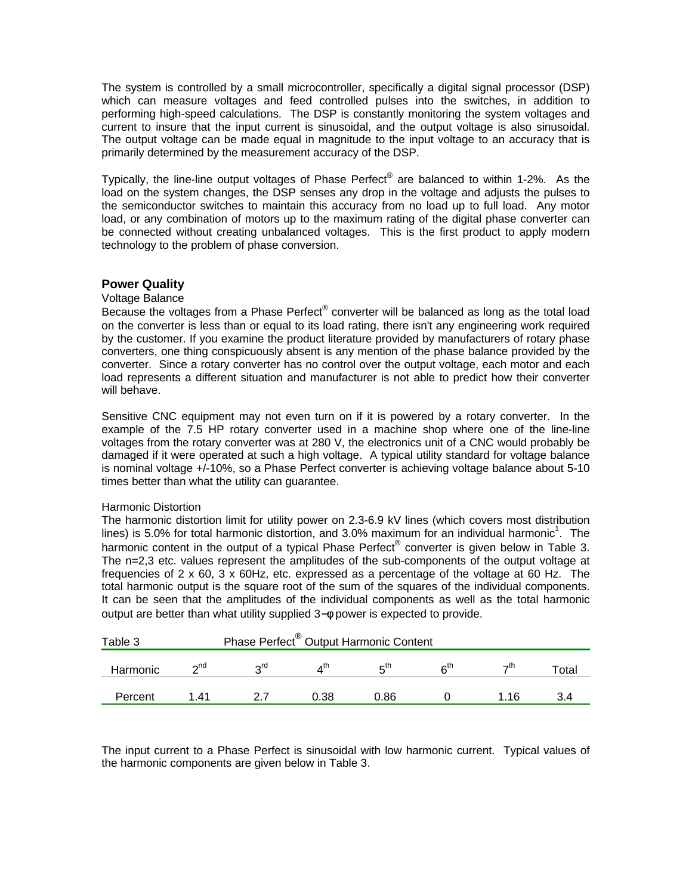The system is controlled by a small microcontroller, specifically a digital signal processor (DSP) which can measure voltages and feed controlled pulses into the switches, in addition to performing high-speed calculations. The DSP is constantly monitoring the system voltages and current to insure that the input current is sinusoidal, and the output voltage is also sinusoidal. The output voltage can be made equal in magnitude to the input voltage to an accuracy that is primarily determined by the measurement accuracy of the DSP.

Typically, the line-line output voltages of Phase Perfect® are balanced to within 1-2%. As the load on the system changes, the DSP senses any drop in the voltage and adjusts the pulses to the semiconductor switches to maintain this accuracy from no load up to full load. Any motor load, or any combination of motors up to the maximum rating of the digital phase converter can be connected without creating unbalanced voltages. This is the first product to apply modern technology to the problem of phase conversion.

# **Power Quality**

#### Voltage Balance

Because the voltages from a Phase Perfect® converter will be balanced as long as the total load on the converter is less than or equal to its load rating, there isn't any engineering work required by the customer. If you examine the product literature provided by manufacturers of rotary phase converters, one thing conspicuously absent is any mention of the phase balance provided by the converter. Since a rotary converter has no control over the output voltage, each motor and each load represents a different situation and manufacturer is not able to predict how their converter will behave.

Sensitive CNC equipment may not even turn on if it is powered by a rotary converter. In the example of the 7.5 HP rotary converter used in a machine shop where one of the line-line voltages from the rotary converter was at 280 V, the electronics unit of a CNC would probably be damaged if it were operated at such a high voltage. A typical utility standard for voltage balance is nominal voltage +/-10%, so a Phase Perfect converter is achieving voltage balance about 5-10 times better than what the utility can guarantee.

#### Harmonic Distortion

The harmonic distortion limit for utility power on 2.3-6.9 kV lines (which covers most distribution lines) is 5.0% for total harmonic distortion, and 3.0% maximum for an individual harmonic<sup>1</sup>. The harmonic content in the output of a typical Phase Perfect® converter is given below in Table 3. The n=2,3 etc. values represent the amplitudes of the sub-components of the output voltage at frequencies of  $2 \times 60$ ,  $3 \times 60$ Hz, etc. expressed as a percentage of the voltage at 60 Hz. The total harmonic output is the square root of the sum of the squares of the individual components. It can be seen that the amplitudes of the individual components as well as the total harmonic output are better than what utility supplied 3−φ power is expected to provide.

| Phase Perfect <sup>®</sup> Output Harmonic Content<br>Table 3 |             |     |      |      |                 |       |       |
|---------------------------------------------------------------|-------------|-----|------|------|-----------------|-------|-------|
| Harmonic                                                      | $\gamma$ nd | oτα |      | π™   | ຂ <sup>th</sup> | →th   | "otal |
| Percent                                                       | 1 41        |     | 0.38 | 0.86 |                 | 1 1 6 | 3.4   |

The input current to a Phase Perfect is sinusoidal with low harmonic current. Typical values of the harmonic components are given below in Table 3.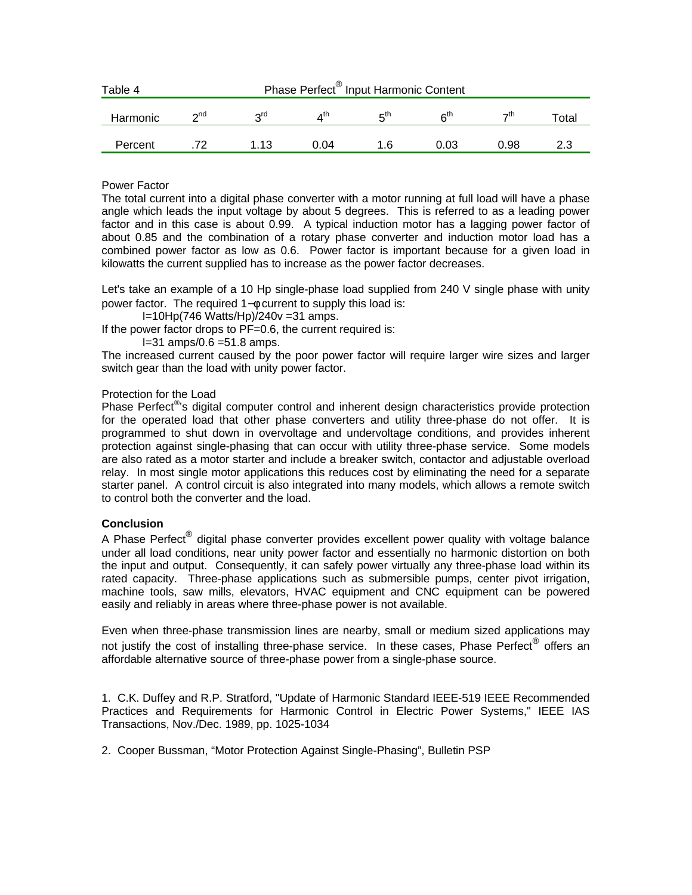| Phase Perfect <sup>®</sup> Input Harmonic Content<br>Table 4 |           |                 |      |     |                 |      |             |
|--------------------------------------------------------------|-----------|-----------------|------|-----|-----------------|------|-------------|
| Harmonic                                                     | $\sim$ nd | 2 <sub>rd</sub> | ⊿th  | πtη | ຂ <sup>th</sup> | →th  | $\tau$ otal |
| Percent                                                      |           | 1.13            | 0.04 | 1.6 | 0.03            | 0.98 |             |

# Power Factor

The total current into a digital phase converter with a motor running at full load will have a phase angle which leads the input voltage by about 5 degrees. This is referred to as a leading power factor and in this case is about 0.99. A typical induction motor has a lagging power factor of about 0.85 and the combination of a rotary phase converter and induction motor load has a combined power factor as low as 0.6. Power factor is important because for a given load in kilowatts the current supplied has to increase as the power factor decreases.

Let's take an example of a 10 Hp single-phase load supplied from 240 V single phase with unity power factor. The required 1– $\phi$  current to supply this load is:

I=10Hp(746 Watts/Hp)/240v =31 amps.

If the power factor drops to PF=0.6, the current required is:

 $I=31$  amps/0.6 = 51.8 amps.

The increased current caused by the poor power factor will require larger wire sizes and larger switch gear than the load with unity power factor.

# Protection for the Load

Phase Perfect<sup>®</sup>s digital computer control and inherent design characteristics provide protection for the operated load that other phase converters and utility three-phase do not offer. It is programmed to shut down in overvoltage and undervoltage conditions, and provides inherent protection against single-phasing that can occur with utility three-phase service. Some models are also rated as a motor starter and include a breaker switch, contactor and adjustable overload relay. In most single motor applications this reduces cost by eliminating the need for a separate starter panel. A control circuit is also integrated into many models, which allows a remote switch to control both the converter and the load.

#### **Conclusion**

A Phase Perfect<sup>®</sup> digital phase converter provides excellent power quality with voltage balance under all load conditions, near unity power factor and essentially no harmonic distortion on both the input and output. Consequently, it can safely power virtually any three-phase load within its rated capacity. Three-phase applications such as submersible pumps, center pivot irrigation, machine tools, saw mills, elevators, HVAC equipment and CNC equipment can be powered easily and reliably in areas where three-phase power is not available.

Even when three-phase transmission lines are nearby, small or medium sized applications may not justify the cost of installing three-phase service. In these cases, Phase Perfect*®* offers an affordable alternative source of three-phase power from a single-phase source.

1. C.K. Duffey and R.P. Stratford, "Update of Harmonic Standard IEEE-519 IEEE Recommended Practices and Requirements for Harmonic Control in Electric Power Systems," IEEE IAS Transactions, Nov./Dec. 1989, pp. 1025-1034

2. Cooper Bussman, "Motor Protection Against Single-Phasing", Bulletin PSP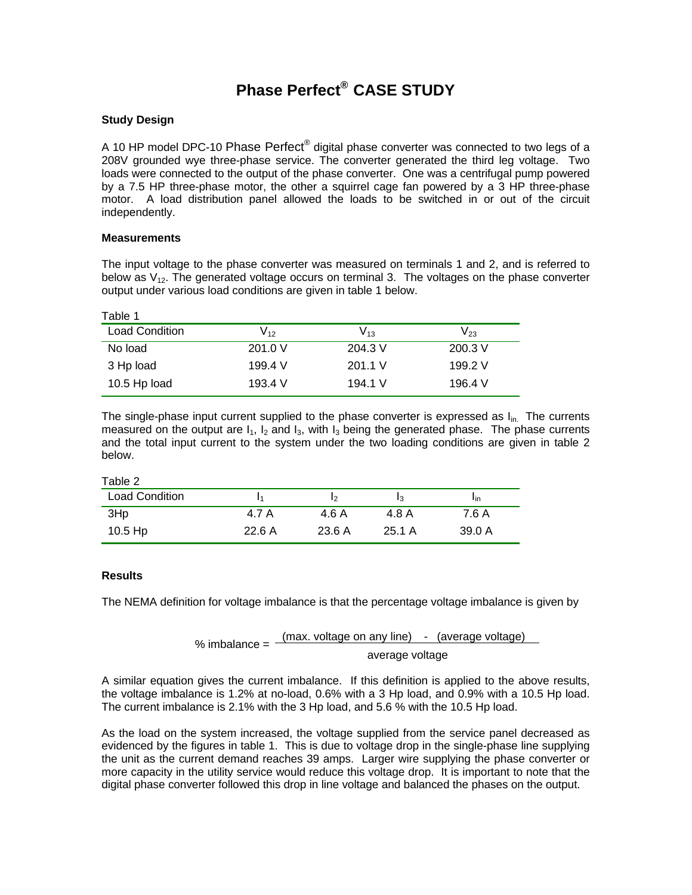# **Phase Perfect® CASE STUDY**

# **Study Design**

A 10 HP model DPC-10 Phase  $\mathsf{Perfect}^\circledast$  digital phase converter was connected to two legs of a 208V grounded wye three-phase service. The converter generated the third leg voltage. Two loads were connected to the output of the phase converter. One was a centrifugal pump powered by a 7.5 HP three-phase motor, the other a squirrel cage fan powered by a 3 HP three-phase motor. A load distribution panel allowed the loads to be switched in or out of the circuit independently.

#### **Measurements**

The input voltage to the phase converter was measured on terminals 1 and 2, and is referred to below as  $V_{12}$ . The generated voltage occurs on terminal 3. The voltages on the phase converter output under various load conditions are given in table 1 below.

| Table 1               |                            |           |         |
|-----------------------|----------------------------|-----------|---------|
| <b>Load Condition</b> | $\mathsf{V}_{\mathsf{12}}$ | $V_{13}$  | V23     |
| No load               | 201.0 V                    | 204.3 V   | 200.3 V |
| 3 Hp load             | 199.4 V                    | $201.1$ V | 199.2 V |
| 10.5 Hp load          | 193.4 V                    | 194.1 V   | 196.4 V |

The single-phase input current supplied to the phase converter is expressed as  $I_{in.}$  The currents measured on the output are  $I_1$ ,  $I_2$  and  $I_3$ , with  $I_3$  being the generated phase. The phase currents and the total input current to the system under the two loading conditions are given in table 2 below.

| Table 2               |       |        |        |                 |
|-----------------------|-------|--------|--------|-----------------|
| <b>Load Condition</b> | ۱1    | Iゥ     |        | 1 <sub>in</sub> |
| 3Hp                   | 4.7 A | 4.6 A  | 4.8 A  | 7.6 A           |
| $10.5$ Hp             | 22.6A | 23.6 A | 25.1 A | 39.0 A          |

#### **Results**

The NEMA definition for voltage imbalance is that the percentage voltage imbalance is given by

% imbalance = 
$$
\frac{(\text{max. voltage on any line)} - (\text{average voltage})}{\text{average voltage}}
$$

A similar equation gives the current imbalance. If this definition is applied to the above results, the voltage imbalance is 1.2% at no-load, 0.6% with a 3 Hp load, and 0.9% with a 10.5 Hp load. The current imbalance is 2.1% with the 3 Hp load, and 5.6 % with the 10.5 Hp load.

As the load on the system increased, the voltage supplied from the service panel decreased as evidenced by the figures in table 1. This is due to voltage drop in the single-phase line supplying the unit as the current demand reaches 39 amps. Larger wire supplying the phase converter or more capacity in the utility service would reduce this voltage drop. It is important to note that the digital phase converter followed this drop in line voltage and balanced the phases on the output.